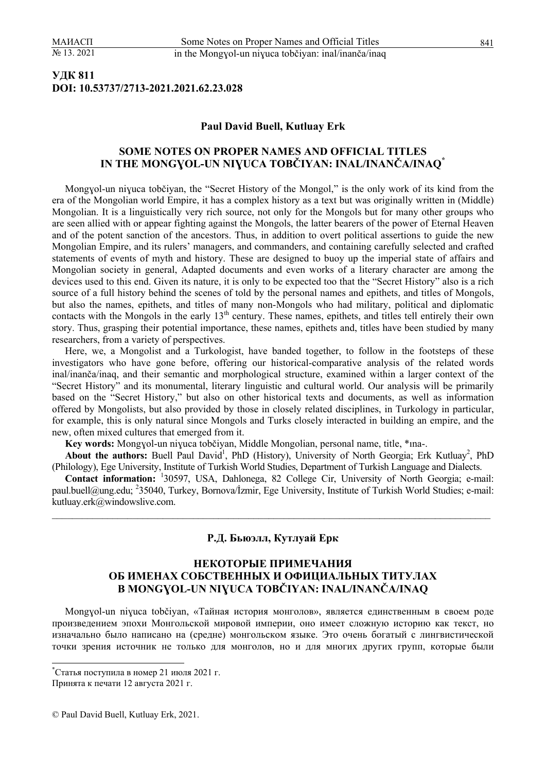## **УДК 811 DOI: 10.53737/2713-2021.2021.62.23.028**

#### **Paul David Buell, Kutluay Erk**

### **SOME NOTES ON PROPER NAMES AND OFFICIAL TITLES IN THE MONGƔOL-UN NIƔUCA TOBČIYAN: INAL/INANČA/INAQ\***

Mongɣol-un niɣuca tobčiyan, the "Secret History of the Mongol," is the only work of its kind from the era of the Mongolian world Empire, it has a complex history as a text but was originally written in (Middle) Mongolian. It is a linguistically very rich source, not only for the Mongols but for many other groups who are seen allied with or appear fighting against the Mongols, the latter bearers of the power of Eternal Heaven and of the potent sanction of the ancestors. Thus, in addition to overt political assertions to guide the new Mongolian Empire, and its rulers' managers, and commanders, and containing carefully selected and crafted statements of events of myth and history. These are designed to buoy up the imperial state of affairs and Mongolian society in general, Adapted documents and even works of a literary character are among the devices used to this end. Given its nature, it is only to be expected too that the "Secret History" also is a rich source of a full history behind the scenes of told by the personal names and epithets, and titles of Mongols, but also the names, epithets, and titles of many non-Mongols who had military, political and diplomatic contacts with the Mongols in the early  $13<sup>th</sup>$  century. These names, epithets, and titles tell entirely their own story. Thus, grasping their potential importance, these names, epithets and, titles have been studied by many researchers, from a variety of perspectives.

Here, we, a Mongolist and a Turkologist, have banded together, to follow in the footsteps of these investigators who have gone before, offering our historical-comparative analysis of the related words inal/inanča/inaq, and their semantic and morphological structure, examined within a larger context of the "Secret History" and its monumental, literary linguistic and cultural world. Our analysis will be primarily based on the "Secret History," but also on other historical texts and documents, as well as information offered by Mongolists, but also provided by those in closely related disciplines, in Turkology in particular, for example, this is only natural since Mongols and Turks closely interacted in building an empire, and the new, often mixed cultures that emerged from it.

**Key words:** Mongɣol-un niɣuca tobčiyan, Middle Mongolian, personal name, title, \*ına-.

About the authors: Buell Paul David<sup>1</sup>, PhD (History), University of North Georgia; Erk Kutluay<sup>2</sup>, PhD (Philology), Ege University, Institute of Turkish World Studies, Department of Turkish Language and Dialects.

**Contact information:** <sup>1</sup> 30597, USA, Dahlonega, 82 College Cir, University of North Georgia; e-mail: paul.buell@ung.edu; <sup>2</sup>35040, Turkey, Bornova/İzmir, Ege University, Institute of Turkish World Studies; e-mail: kutluay.erk@windowslive.com.

 $\mathcal{L}_\mathcal{L} = \mathcal{L}_\mathcal{L} = \mathcal{L}_\mathcal{L} = \mathcal{L}_\mathcal{L} = \mathcal{L}_\mathcal{L} = \mathcal{L}_\mathcal{L} = \mathcal{L}_\mathcal{L} = \mathcal{L}_\mathcal{L} = \mathcal{L}_\mathcal{L} = \mathcal{L}_\mathcal{L} = \mathcal{L}_\mathcal{L} = \mathcal{L}_\mathcal{L} = \mathcal{L}_\mathcal{L} = \mathcal{L}_\mathcal{L} = \mathcal{L}_\mathcal{L} = \mathcal{L}_\mathcal{L} = \mathcal{L}_\mathcal{L}$ 

#### **Р.Д. Бьюэлл, Кутлуай Ерк**

### **НЕКОТОРЫЕ ПРИМЕЧАНИЯ ОБ ИМЕНАХ СОБСТВЕННЫХ И ОФИЦИАЛЬНЫХ ТИТУЛАХ В MONGƔOL-UN NIƔUCA TOBČIYAN: INAL/INANČA/INAQ**

Mongɣol-un niɣuca tobčiyan, «Тайная история монголов», является единственным в своем роде произведением эпохи Монгольской мировой империи, оно имеет сложную историю как текст, но изначально было написано на (средне) монгольском языке. Это очень богатый с лингвистической точки зрения источник не только для монголов, но и для многих других групп, которые были

 $\overline{\phantom{a}}$ 

<sup>\*</sup> Статья поступила в номер 21 июля 2021 г.

Принята к печати 12 августа 2021 г.

<sup>©</sup> Paul David Buell, Kutluay Erk, 2021.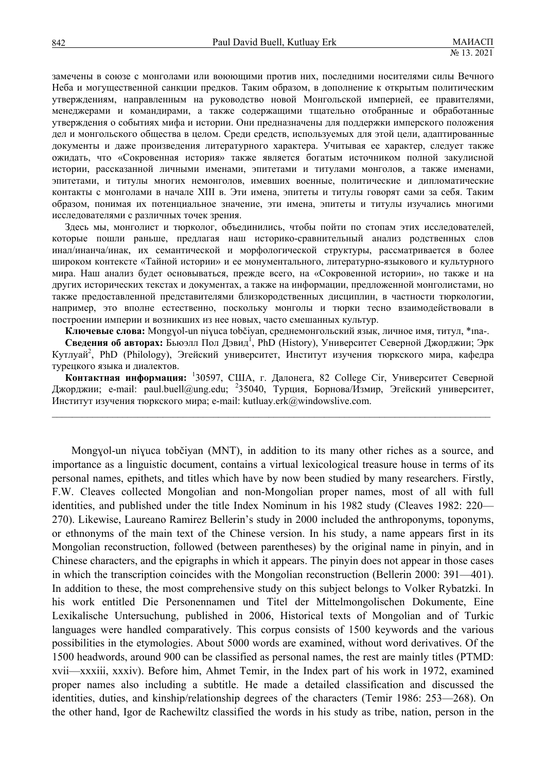замечены в союзе с монголами или воюющими против них, последними носителями силы Вечного Неба и могущественной санкции предков. Таким образом, в дополнение к открытым политическим утверждениям, направленным на руководство новой Монгольской империей, ее правителями, менеджерами и командирами, а также содержащими тщательно отобранные и обработанные утверждения о событиях мифа и истории. Они предназначены для поддержки имперского положения дел и монгольского общества в целом. Среди средств, используемых для этой цели, адаптированные документы и даже произведения литературного характера. Учитывая ее характер, следует также ожидать, что «Сокровенная история» также является богатым источником полной закулисной истории, рассказанной личными именами, эпитетами и титулами монголов, а также именами, эпитетами, и титулы многих немонголов, имевших военные, политические и дипломатические контакты с монголами в начале XIII в. Эти имена, эпитеты и титулы говорят сами за себя. Таким образом, понимая их потенциальное значение, эти имена, эпитеты и титулы изучались многими исследователями с различных точек зрения.

Здесь мы, монголист и тюрколог, объединились, чтобы пойти по стопам этих исследователей, которые пошли раньше, предлагая наш историко-сравнительный анализ родственных слов инал/инанча/инак, их семантической и морфологической структуры, рассматривается в более широком контексте «Тайной истории» и ее монументального, литературно-языкового и культурного мира. Наш анализ будет основываться, прежде всего, на «Сокровенной истории», но также и на других исторических текстах и документах, а также на информации, предложенной монголистами, но также предоставленной представителями близкородственных дисциплин, в частности тюркологии, например, это вполне естественно, поскольку монголы и тюрки тесно взаимодействовали в построении империи и возникших из нее новых, часто смешанных культур.

**Ключевые слова:** Mongɣol-un niɣuca tobčiyan, среднемонгольский язык, личное имя, титул, \*ına-.

Сведения об авторах: Бьюэлл Пол Дэвид<sup>1</sup>, PhD (History), Университет Северной Джорджии; Эрк Kутлуай<sup>2</sup>, PhD (Philology), Эгейский университет, Институт изучения тюркского мира, кафедра турецкого языка и диалектов.

**Контактная информация:** <sup>1</sup> 30597, США, г. Далонега, 82 College Cir, Университет Северной Джорджии; e-mail: paul.buell@ung.edu; <sup>2</sup>35040, Турция, Борнова/Измир, Эгейский университет, Институт изучения тюркского мира; e-mail: kutluay.erk@windowslive.com.

 $\mathcal{L}_\mathcal{L} = \mathcal{L}_\mathcal{L} = \mathcal{L}_\mathcal{L} = \mathcal{L}_\mathcal{L} = \mathcal{L}_\mathcal{L} = \mathcal{L}_\mathcal{L} = \mathcal{L}_\mathcal{L} = \mathcal{L}_\mathcal{L} = \mathcal{L}_\mathcal{L} = \mathcal{L}_\mathcal{L} = \mathcal{L}_\mathcal{L} = \mathcal{L}_\mathcal{L} = \mathcal{L}_\mathcal{L} = \mathcal{L}_\mathcal{L} = \mathcal{L}_\mathcal{L} = \mathcal{L}_\mathcal{L} = \mathcal{L}_\mathcal{L}$ 

Mongɣol-un niɣuca tobčiyan (MNT), in addition to its many other riches as a source, and importance as a linguistic document, contains a virtual lexicological treasure house in terms of its personal names, epithets, and titles which have by now been studied by many researchers. Firstly, F.W. Cleaves collected Mongolian and non-Mongolian proper names, most of all with full identities, and published under the title Index Nominum in his 1982 study (Cleaves 1982: 220— 270). Likewise, Laureano Ramirez Bellerin's study in 2000 included the anthroponyms, toponyms, or ethnonyms of the main text of the Chinese version. In his study, a name appears first in its Mongolian reconstruction, followed (between parentheses) by the original name in pinyin, and in Chinese characters, and the epigraphs in which it appears. The pinyin does not appear in those cases in which the transcription coincides with the Mongolian reconstruction (Bellerin 2000: 391—401). In addition to these, the most comprehensive study on this subject belongs to Volker Rybatzki. In his work entitled Die Personennamen und Titel der Mittelmongolischen Dokumente, Eine Lexikalische Untersuchung, published in 2006, Historical texts of Mongolian and of Turkic languages were handled comparatively. This corpus consists of 1500 keywords and the various possibilities in the etymologies. About 5000 words are examined, without word derivatives. Of the 1500 headwords, around 900 can be classified as personal names, the rest are mainly titles (PTMD: xvii—xxxiii, xxxiv). Before him, Ahmet Temir, in the Index part of his work in 1972, examined proper names also including a subtitle. He made a detailed classification and discussed the identities, duties, and kinship/relationship degrees of the characters (Temir 1986: 253—268). On the other hand, Igor de Rachewiltz classified the words in his study as tribe, nation, person in the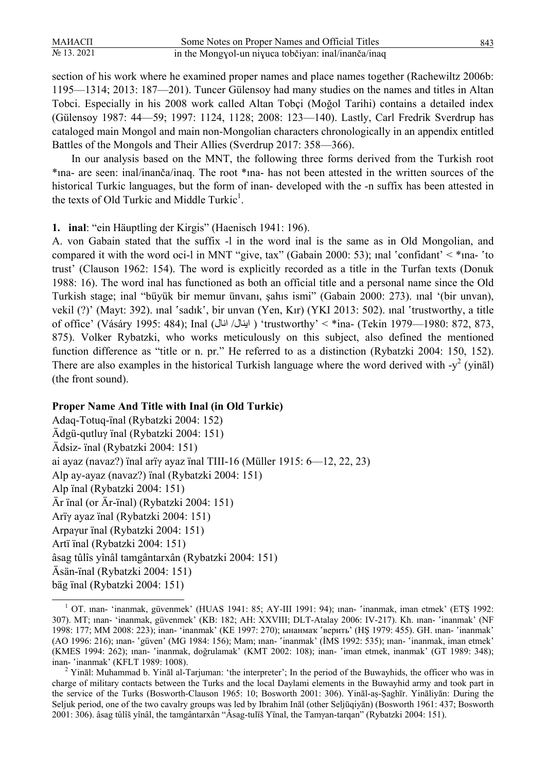| МАИАСП         | Some Notes on Proper Names and Official Titles      | 843 |
|----------------|-----------------------------------------------------|-----|
| $N_2$ 13. 2021 | in the Mongyol-un niyuca tobčiyan: inal/inanča/inaq |     |

section of his work where he examined proper names and place names together (Rachewiltz 2006b: 1195—1314; 2013: 187—201). Tuncer Gülensoy had many studies on the names and titles in Altan Tobci. Especially in his 2008 work called Altan Tobçi (Moğol Tarihi) contains a detailed index (Gülensoy 1987: 44—59; 1997: 1124, 1128; 2008: 123—140). Lastly, Carl Fredrik Sverdrup has cataloged main Mongol and main non-Mongolian characters chronologically in an appendix entitled Battles of the Mongols and Their Allies (Sverdrup 2017: 358—366).

In our analysis based on the MNT, the following three forms derived from the Turkish root \*ına- are seen: inal/inanča/inaq. The root \*ına- has not been attested in the written sources of the historical Turkic languages, but the form of inan- developed with the -n suffix has been attested in the texts of Old Turkic and Middle Turkic<sup>1</sup>.

**1. inal**: "ein Häuptling der Kirgis" (Haenisch 1941: 196).

A. von Gabain stated that the suffix -l in the word inal is the same as in Old Mongolian, and compared it with the word oci-l in MNT "give, tax" (Gabain 2000: 53); inal 'confidant'  $\lt^*$ ina- 'to trust' (Clauson 1962: 154). The word is explicitly recorded as a title in the Turfan texts (Donuk 1988: 16). The word inal has functioned as both an official title and a personal name since the Old Turkish stage; inal "büyük bir memur ünvanı, şahıs ismi" (Gabain 2000: 273). ınal ʻ(bir unvan), vekil (?)' (Mayt: 392). ınal 'sadık', bir unvan (Yen, Kır) (YKI 2013: 502). ınal 'trustworthy, a title of office' (Vásáry 1995: 484); Inal (انال /اينال ( ʻtrustworthy' < \*ina- (Tekin 1979—1980: 872, 873, 875). Volker Rybatzki, who works meticulously on this subject, also defined the mentioned function difference as "title or n. pr." He referred to as a distinction (Rybatzki 2004: 150, 152). There are also examples in the historical Turkish language where the word derived with  $-y^2$  (yinal) (the front sound).

#### **Proper Name And Title with Inal (in Old Turkic)**

Adaq-Totuq-ïnal (Rybatzki 2004: 152) Ädgü-qutluγ ïnal (Rybatzki 2004: 151) Ädsiz- ïnal (Rybatzki 2004: 151) ai ayaz (navaz?) ïnal arïγ ayaz ïnal TIII-16 (Müller 1915: 6—12, 22, 23) Alp ay-ayaz (navaz?) ïnal (Rybatzki 2004: 151) Alp ïnal (Rybatzki 2004: 151) Är ïnal (or Är-ïnal) (Rybatzki 2004: 151) Arïγ ayaz ïnal (Rybatzki 2004: 151) Arpaγur ïnal (Rybatzki 2004: 151) Artï ïnal (Rybatzki 2004: 151) âsag tûlîs yînâl tamgântarxân (Rybatzki 2004: 151) Äsän-ïnal (Rybatzki 2004: 151) bäg ïnal (Rybatzki 2004: 151)

<sup>1</sup> OT. inan- 'inanmak, güvenmek' (HUAS 1941: 85; AY-III 1991: 94); inan- 'inanmak, iman etmek' (ETŞ 1992: 307). MT; ınan- ʻinanmak, güvenmek' (KB: 182; AH: XXVIII; DLT-Atalay 2006: IV-217). Kh. ınan- ʽinanmak' (NF 1998: 177; MM 2008: 223); inan- ʻinanmak' (KE 1997: 270); ынaнмaҡ ʽвepить' (HŞ 1979: 455). GH. ınan- ʽinanmak' (AO 1996: 216); ınan- ʽgüven' (MG 1984: 156); Mam; ınan- ʽinanmak' (İMS 1992: 535); ınan- ʽinanmak, iman etmek' (KMES 1994: 262); ınan- ʽinanmak, doğrulamak' (KMT 2002: 108); inan- ʽiman etmek, inanmak' (GT 1989: 348); inan- 'inanmak' (KFLT 1989: 1008).

<sup>&</sup>lt;sup>2</sup> Yināl: Muhammad b. Yināl al-Tarjuman: 'the interpreter'; In the period of the Buwayhids, the officer who was in charge of military contacts between the Turks and the local Daylami elements in the Buwayhid army and took part in the service of the Turks (Bosworth-Clauson 1965: 10; Bosworth 2001: 306). Yināl-aṣ-Ṣaghīr. Yināliyān: During the Seljuk period, one of the two cavalry groups was led by Ibrahim Ināl (other Seljūqiyān) (Bosworth 1961: 437; Bosworth 2001: 306). âsag tûlîš yînâl, the tamgântarxân "Âsag-tulïš Yïnal, the Tamγan-tarqan" (Rybatzki 2004: 151).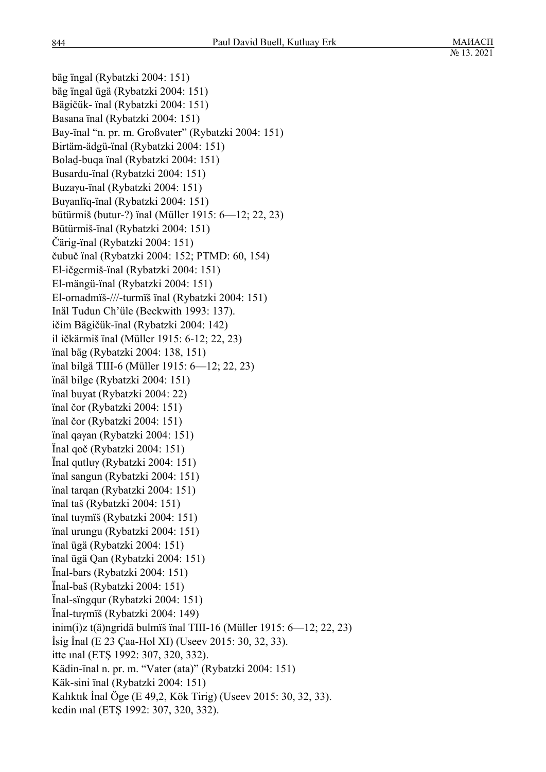bäg ïngal (Rybatzki 2004: 151) bäg ïngal ügä (Rybatzki 2004: 151) Bägičük- ïnal (Rybatzki 2004: 151) Basana ïnal (Rybatzki 2004: 151) Bay-ïnal "n. pr. m. Großvater" (Rybatzki 2004: 151) Birtäm-ädgü-ïnal (Rybatzki 2004: 151) Bolad̠-buqa ïnal (Rybatzki 2004: 151) Busardu-ïnal (Rybatzki 2004: 151) Buzaγu-ïnal (Rybatzki 2004: 151) Buγanlïq-ïnal (Rybatzki 2004: 151) bütürmiš (butur-?) ïnal (Müller 1915: 6—12; 22, 23) Bütürmiš-ïnal (Rybatzki 2004: 151) Čärig-ïnal (Rybatzki 2004: 151) čubuč ïnal (Rybatzki 2004: 152; PTMD: 60, 154) El-ičgermiš-ïnal (Rybatzki 2004: 151) El-mängü-ïnal (Rybatzki 2004: 151) El-ornadmïš-///-turmïš ïnal (Rybatzki 2004: 151) Inäl Tudun Ch'üle (Beckwith 1993: 137). ičim Bägičük-ïnal (Rybatzki 2004: 142) il ičkärmiš ïnal (Müller 1915: 6-12; 22, 23) ïnal bäg (Rybatzki 2004: 138, 151) ïnal bilgä TIII-6 (Müller 1915: 6—12; 22, 23) ïnäl bilge (Rybatzki 2004: 151) ïnal buyat (Rybatzki 2004: 22) ïnal čor (Rybatzki 2004: 151) ïnal čor (Rybatzki 2004: 151) ïnal qaγan (Rybatzki 2004: 151) Ïnal qoč (Rybatzki 2004: 151) Ïnal qutluγ (Rybatzki 2004: 151) ïnal sangun (Rybatzki 2004: 151) ïnal tarqan (Rybatzki 2004: 151) ïnal taš (Rybatzki 2004: 151) ïnal tuγmïš (Rybatzki 2004: 151) ïnal urungu (Rybatzki 2004: 151) ïnal ügä (Rybatzki 2004: 151) ïnal ügä Qan (Rybatzki 2004: 151) Ïnal-bars (Rybatzki 2004: 151) Ïnal-baš (Rybatzki 2004: 151) Ïnal-sïngqur (Rybatzki 2004: 151) Ïnal-tuγmïš (Rybatzki 2004: 149) inim(i)z t(ä)ngridä bulmïš ïnal TIII-16 (Müller 1915: 6—12; 22, 23) İsig İnal (E 23 Çaa-Hol XI) (Useev 2015: 30, 32, 33). itte ınal (ETŞ 1992: 307, 320, 332). Kädin-ïnal n. pr. m. "Vater (ata)" (Rybatzki 2004: 151) Käk-sini ïnal (Rybatzki 2004: 151) Kalıktık İnal Öge (E 49,2, Kök Tirig) (Useev 2015: 30, 32, 33). kedin ınal (ETŞ 1992: 307, 320, 332).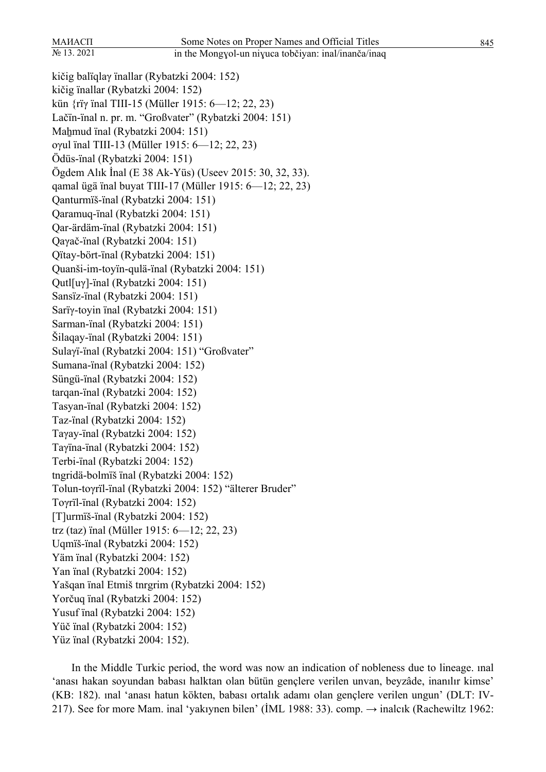kičig balïqlaγ ïnallar (Rybatzki 2004: 152) kičig ïnallar (Rybatzki 2004: 152) kün {rïγ ïnal TIII-15 (Müller 1915: 6—12; 22, 23) Lačïn-ïnal n. pr. m. "Großvater" (Rybatzki 2004: 151) Mahmud ïnal (Rybatzki 2004: 151) oγul ïnal TIII-13 (Müller 1915: 6—12; 22, 23) Ödüs-ïnal (Rybatzki 2004: 151) Ögdem Alık İnal (E 38 Ak-Yüs) (Useev 2015: 30, 32, 33). qamal ügä ïnal buyat TIII-17 (Müller 1915: 6—12; 22, 23) Qanturmïš-ïnal (Rybatzki 2004: 151) Qaramuq-ïnal (Rybatzki 2004: 151) Qar-ärdäm-ïnal (Rybatzki 2004: 151) Qaγač-ïnal (Rybatzki 2004: 151) Qïtay-bört-ïnal (Rybatzki 2004: 151) Quanši-im-toyïn-qulä-ïnal (Rybatzki 2004: 151) Qutl[uγ]-ïnal (Rybatzki 2004: 151) Sansïz-ïnal (Rybatzki 2004: 151) Sarïγ-toyin ïnal (Rybatzki 2004: 151) Sarman-ïnal (Rybatzki 2004: 151) Šilaqay-ïnal (Rybatzki 2004: 151) Sulaγï-ïnal (Rybatzki 2004: 151) "Großvater" Sumana-ïnal (Rybatzki 2004: 152) Süngü-ïnal (Rybatzki 2004: 152) tarqan-ïnal (Rybatzki 2004: 152) Tasyan-ïnal (Rybatzki 2004: 152) Taz-ïnal (Rybatzki 2004: 152) Taγay-ïnal (Rybatzki 2004: 152) Taγïna-ïnal (Rybatzki 2004: 152) Terbi-ïnal (Rybatzki 2004: 152) tngridä-bolmïš ïnal (Rybatzki 2004: 152) Tolun-toγrïl-ïnal (Rybatzki 2004: 152) "älterer Bruder" Toγrïl-ïnal (Rybatzki 2004: 152) [T]urmïš-ïnal (Rybatzki 2004: 152) trz (taz) ïnal (Müller 1915: 6—12; 22, 23) Uqmïš-ïnal (Rybatzki 2004: 152) Yäm ïnal (Rybatzki 2004: 152) Yan ïnal (Rybatzki 2004: 152) Yašqan ïnal Etmiš tnrgrim (Rybatzki 2004: 152) Yorčuq ïnal (Rybatzki 2004: 152) Yusuf ïnal (Rybatzki 2004: 152) Yüč ïnal (Rybatzki 2004: 152) Yüz ïnal (Rybatzki 2004: 152).

In the Middle Turkic period, the word was now an indication of nobleness due to lineage. ınal ʻanası hakan soyundan babası halktan olan bütün gençlere verilen unvan, beyzâde, inanılır kimse' (KB: 182). ınal ʻanası hatun kökten, babası ortalık adamı olan gençlere verilen ungun' (DLT: IV-217). See for more Mam. inal 'yakıynen bilen' (İML 1988: 33). comp.  $\rightarrow$  inalcık (Rachewiltz 1962: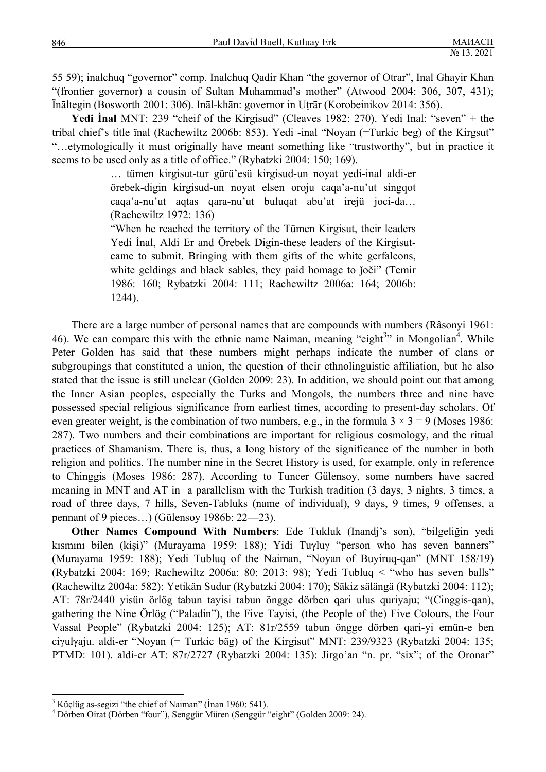55 59); inalchuq "governor" comp. Inalchuq Qadir Khan "the governor of Otrar", Inal Ghayir Khan "(frontier governor) a cousin of Sultan Muhammad's mother" (Atwood 2004: 306, 307, 431); Ïnāltegin (Bosworth 2001: 306). Ināl-khān: governor in Uṭrār (Korobeinikov 2014: 356).

**Yedi İnal** MNT: 239 "cheif of the Kirgisud" (Cleaves 1982: 270). Yedi Inal: "seven" + the tribal chief's title ïnal (Rachewiltz 2006b: 853). Yedi -inal "Noyan (=Turkic beg) of the Kirgsut" "…etymologically it must originally have meant something like "trustworthy", but in practice it seems to be used only as a title of office." (Rybatzki 2004: 150; 169).

> … tümen kirgisut-tur gürü'esü kirgisud-un noyat yedi-inal aldi-er örebek-digin kirgisud-un noyat elsen oroju caqa'a-nu'ut singqot caqa'a-nu'ut aqtas qara-nu'ut buluqat abu'at irejü joci-da… (Rachewiltz 1972: 136)

> "When he reached the territory of the Tümen Kirgisut, their leaders Yedi İnal, Aldi Er and Örebek Digin-these leaders of the Kirgisutcame to submit. Bringing with them gifts of the white gerfalcons, white geldings and black sables, they paid homage to joči" (Temir 1986: 160; Rybatzki 2004: 111; Rachewiltz 2006a: 164; 2006b: 1244).

There are a large number of personal names that are compounds with numbers (Râsonyi 1961: 46). We can compare this with the ethnic name Naiman, meaning "eight<sup>3</sup>" in Mongolian<sup>4</sup>. While Peter Golden has said that these numbers might perhaps indicate the number of clans or subgroupings that constituted a union, the question of their ethnolinguistic affiliation, but he also stated that the issue is still unclear (Golden 2009: 23). In addition, we should point out that among the Inner Asian peoples, especially the Turks and Mongols, the numbers three and nine have possessed special religious significance from earliest times, according to present-day scholars. Of even greater weight, is the combination of two numbers, e.g., in the formula  $3 \times 3 = 9$  (Moses 1986: 287). Two numbers and their combinations are important for religious cosmology, and the ritual practices of Shamanism. There is, thus, a long history of the significance of the number in both religion and politics. The number nine in the Secret History is used, for example, only in reference to Chinggis (Moses 1986: 287). According to Tuncer Gülensoy, some numbers have sacred meaning in MNT and AT in a parallelism with the Turkish tradition (3 days, 3 nights, 3 times, a road of three days, 7 hills, Seven-Tabluks (name of individual), 9 days, 9 times, 9 offenses, a pennant of 9 pieces…) (Gülensoy 1986b: 22—23).

**Other Names Compound With Numbers**: Ede Tukluk (Inandj's son), "bilgeliğin yedi kısmını bilen (kişi)" (Murayama 1959: 188); Yidi Tuγluγ "person who has seven banners" (Murayama 1959: 188); Yedi Tubluq of the Naiman, "Noyan of Buyiruq-qan" (MNT 158/19) (Rybatzki 2004: 169; Rachewiltz 2006a: 80; 2013: 98); Yedi Tubluq < "who has seven balls" (Rachewiltz 2004a: 582); Yetikän Sudur (Rybatzki 2004: 170); Säkiz sälängä (Rybatzki 2004: 112); AT: 78r/2440 yisün örlög tabun tayisi tabun öngge dörben qari ulus quriyaju; "(Cinggis-qan), gathering the Nine Örlög ("Paladin"), the Five Tayisi, (the People of the) Five Colours, the Four Vassal People" (Rybatzki 2004: 125); AT: 81r/2559 tabun öngge dörben qari-yi emün-e ben ciγulγaju. aldi-er "Noyan (= Turkic bäg) of the Kirgisut" MNT: 239/9323 (Rybatzki 2004: 135; PTMD: 101). aldi-er AT: 87r/2727 (Rybatzki 2004: 135): Jirgo'an "n. pr. "six"; of the Oronar"

 $\overline{\phantom{a}}$ 

<sup>&</sup>lt;sup>3</sup> Küçlüg as-segizi "the chief of Naiman" (İnan 1960: 541).<br><sup>4</sup> Dörben Qirat (Dörben "four"), Songgür Müren (Songgür "

Dörben Oirat (Dörben "four"), Senggür Müren (Senggür "eight" (Golden 2009: 24).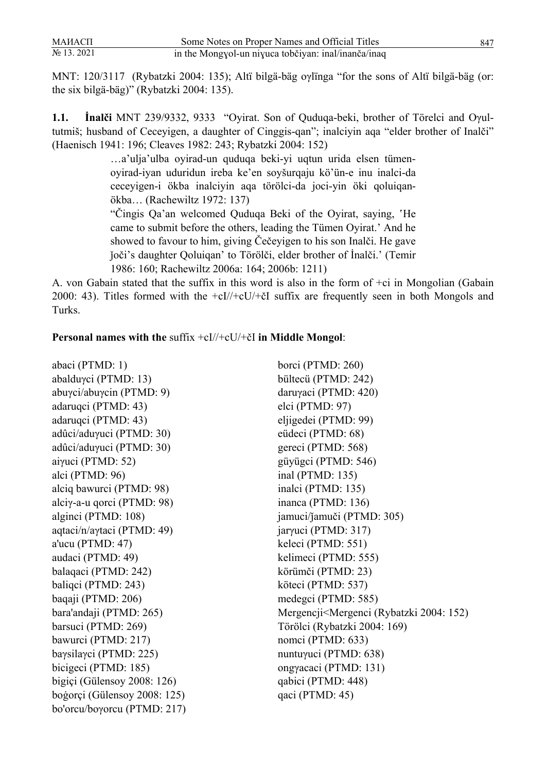MNT: 120/3117 (Rybatzki 2004: 135); Altï bilgä-bäg oγlïnga "for the sons of Altï bilgä-bäg (or: the six bilgä-bäg)" (Rybatzki 2004: 135).

**1.1. İnalči** MNT 239/9332, 9333 "Oyirat. Son of Quduqa-beki, brother of Törelci and Oγultutmiš; husband of Ceceyigen, a daughter of Cinggis-qan"; inalciyin aqa "elder brother of Inalči" (Haenisch 1941: 196; Cleaves 1982: 243; Rybatzki 2004: 152)

> …a'ulja'ulba oyirad-un quduqa beki-yi uqtun urida elsen tümenoyirad-iyan uduridun ireba ke'en soyšurqaju kö'ün-e inu inalci-da ceceyigen-i ökba inalciyin aqa törölci-da joci-yin öki qoluiqanökba… (Rachewiltz 1972: 137)

> "Cingis Qa'an welcomed Quduqa Beki of the Oyirat, saying, 'He came to submit before the others, leading the Tümen Oyirat.' And he showed to favour to him, giving Čečeyigen to his son Inalči. He gave ǰoči's daughter Qoluiqan' to Törölči, elder brother of İnalči.' (Temir 1986: 160; Rachewiltz 2006a: 164; 2006b: 1211)

A. von Gabain stated that the suffix in this word is also in the form of +ci in Mongolian (Gabain 2000: 43). Titles formed with the +cI//+cU/+čI suffix are frequently seen in both Mongols and Turks.

### **Personal names with the** suffix +cI//+cU/+čI **in Middle Mongol**:

| abaci (PTMD: 1)               | borci (PTMD: 260)                                                    |
|-------------------------------|----------------------------------------------------------------------|
| abalduγci (PTMD: 13)          | bültecü (PTMD: 242)                                                  |
| abuγci/abuγcin (PTMD: 9)      | daruγaci (PTMD: 420)                                                 |
| adaruqci (PTMD: 43)           | elci (PTMD: 97)                                                      |
| adaruqci (PTMD: 43)           | eljigedei (PTMD: 99)                                                 |
| adûci/aduγuci (PTMD: 30)      | eüdeci (PTMD: 68)                                                    |
| adûci/aduγuci (PTMD: 30)      | gereci (PTMD: 568)                                                   |
| aiγuci (PTMD: 52)             | güyügci (PTMD: 546)                                                  |
| alci (PTMD: 96)               | inal (PTMD: $135$ )                                                  |
| alciq bawurci (PTMD: 98)      | inalci (PTMD: 135)                                                   |
| alciy-a-u qorci (PTMD: $98$ ) | inanca (PTMD: 136)                                                   |
| alginci (PTMD: 108)           | jamuci/jamuči (PTMD: 305)                                            |
| aqtaci/n/aγtaci (PTMD: 49)    | jarγuci (PTMD: 317)                                                  |
| a'ucu (PTMD: 47)              | keleci (PTMD: 551)                                                   |
| audaci (PTMD: 49)             | kelimeci (PTMD: 555)                                                 |
| balaqaci (PTMD: 242)          | körümči (PTMD: 23)                                                   |
| baliqci (PTMD: 243)           | köteci (PTMD: 537)                                                   |
| baqaji (PTMD: 206)            | medegci (PTMD: 585)                                                  |
| bara'andaji (PTMD: 265)       | Mergencji <mergenci (rybatzki="" 152)<="" 2004:="" td=""></mergenci> |
| barsuci (PTMD: 269)           | Törölci (Rybatzki 2004: 169)                                         |
| bawurci (PTMD: 217)           | nomci (PTMD: 633)                                                    |
| baysilaγci (PTMD: 225)        | nuntuγuci (PTMD: 638)                                                |
| bicigeci (PTMD: 185)          | ongγacaci (PTMD: 131)                                                |
| bigiçi (Gülensoy 2008: 126)   | qabici (PTMD: 448)                                                   |
| bogorçi (Gülensoy 2008: 125)  | qaci (PTMD: 45)                                                      |
| bo'orcu/boγorcu (PTMD: 217)   |                                                                      |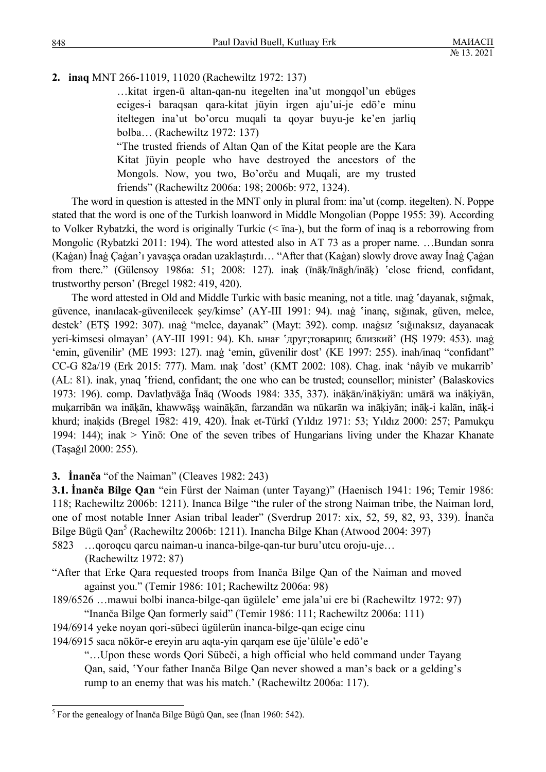# **2. inaq** MNT 266-11019, 11020 (Rachewiltz 1972: 137)

…kitat irgen-ü altan-qan-nu itegelten ina'ut mongqol'un ebüges eciges-i baraqsan qara-kitat jüyin irgen aju'ui-je edö'e minu iteltegen ina'ut bo'orcu muqali ta qoyar buyu-je ke'en jarliq bolba… (Rachewiltz 1972: 137)

"The trusted friends of Altan Qan of the Kitat people are the Kara Kitat jüyin people who have destroyed the ancestors of the Mongols. Now, you two, Bo'orču and Muqali, are my trusted friends" (Rachewiltz 2006a: 198; 2006b: 972, 1324).

The word in question is attested in the MNT only in plural from: ina'ut (comp. itegelten). N. Poppe stated that the word is one of the Turkish loanword in Middle Mongolian (Poppe 1955: 39). According to Volker Rybatzki, the word is originally Turkic (< ïna-), but the form of inaq is a reborrowing from Mongolic (Rybatzki 2011: 194). The word attested also in AT 73 as a proper name. …Bundan sonra (Kaġan) İnaġ Çaġan'ı yavaşça oradan uzaklaştırdı… "After that (Kaġan) slowly drove away İnaġ Çaġan from there." (Gülensoy 1986a: 51; 2008: 127). inak (īnāķ/īnāgh/ināk) 'close friend, confidant, trustworthy person' (Bregel 1982: 419, 420).

The word attested in Old and Middle Turkic with basic meaning, not a title. ınaġ 'dayanak, sığmak, güvence, inanılacak-güvenilecek şey/kimse' (AY-III 1991: 94). ınaġ 'inanç, sığınak, güven, melce, destek' (ETŞ 1992: 307). ınağ "melce, dayanak" (Mayt: 392). comp. ınağsız 'sığınaksız, dayanacak yeri-kimsesi olmayan' (АҮ-III 1991: 94). Kh. ынағ 'друг;товарищ; близкий' (HŞ 1979: 453). mag ʻemin, güvenilir' (ME 1993: 127). ınaġ ʻemin, güvenilir dost' (KE 1997: 255). inah/inaq "confidant" CC-G 82a/19 (Erk 2015: 777). Mam. ınaḳ ʽdost' (KMT 2002: 108). Chag. inak ʻnâyib ve mukarrib' (AL: 81). inak, ynaq 'friend, confidant; the one who can be trusted; counsellor; minister' (Balaskovics 1973: 196). comp. Davlatḫvāğa Īnāq (Woods 1984: 335, 337). ināḳān/ināḳiyān: umārā wa ināḳiyān, mukarribān wa inākān, khawwāṣṣ wainākān, farzandān wa nūkarān wa inākiyān; ināk-i kalān, ināk-i khurd; inaḳids (Bregel 1982: 419, 420). İnak et-Türkî (Yıldız 1971: 53; Yıldız 2000: 257; Pamukçu 1994: 144); inak > Yinö: One of the seven tribes of Hungarians living under the Khazar Khanate (Taşağıl 2000: 255).

## **3. İnanča** "of the Naiman" (Cleaves 1982: 243)

**3.1. İnanča Bilge Qan** "ein Fürst der Naiman (unter Tayang)" (Haenisch 1941: 196; Temir 1986: 118; Rachewiltz 2006b: 1211). Inanca Bilge "the ruler of the strong Naiman tribe, the Naiman lord, one of most notable Inner Asian tribal leader" (Sverdrup 2017: xix, 52, 59, 82, 93, 339). İnanča Bilge Bügü Qan<sup>5</sup> (Rachewiltz 2006b: 1211). Inancha Bilge Khan (Atwood 2004: 397)

- 5823 …qoroqcu qarcu naiman-u inanca-bilge-qan-tur buru'utcu oroju-uje… (Rachewiltz 1972: 87)
- "After that Erke Qara requested troops from Inanča Bilge Qan of the Naiman and moved against you." (Temir 1986: 101; Rachewiltz 2006a: 98)
- 189/6526 …mawui bolbi inanca-bilge-qan ügülele' eme jala'ui ere bi (Rachewiltz 1972: 97) "Inanča Bilge Qan formerly said" (Temir 1986: 111; Rachewiltz 2006a: 111)
- 194/6914 yeke noyan qori-sübeci ügülerün inanca-bilge-qan ecige cinu
- 194/6915 saca nökör-e ereyin aru aqta-yin qarqam ese üje'ülüle'e edö'e

"…Upon these words Qori Sübeči, a high official who held command under Tayang Qan, said, ʽYour father Inanča Bilge Qan never showed a man's back or a gelding's rump to an enemy that was his match.' (Rachewiltz 2006a: 117).

 5 For the genealogy of İnanča Bilge Bügü Qan, see (İnan 1960: 542).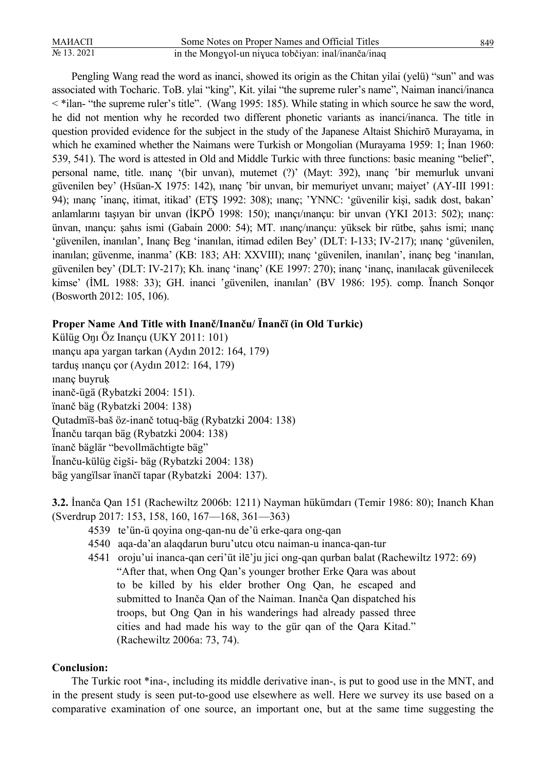| МАИАСП         | Some Notes on Proper Names and Official Titles      | 849 |
|----------------|-----------------------------------------------------|-----|
| $N_2$ 13. 2021 | in the Mongyol-un niyuca tobčiyan: inal/inanča/inaq |     |

Pengling Wang read the word as inanci, showed its origin as the Chitan yilai (yelü) "sun" and was associated with Tocharic. ToB. ylai "king", Kit. yilai "the supreme ruler's name", Naiman inanci/inanca < \*ilan- "the supreme ruler's title". (Wang 1995: 185). While stating in which source he saw the word, he did not mention why he recorded two different phonetic variants as inanci/inanca. The title in question provided evidence for the subject in the study of the Japanese Altaist Shichirō Murayama, in which he examined whether the Naimans were Turkish or Mongolian (Murayama 1959: 1; İnan 1960: 539, 541). The word is attested in Old and Middle Turkic with three functions: basic meaning "belief", personal name, title. *inanç* '(bir unvan), mutemet (?)' (Mayt: 392), inanç 'bir memurluk unvani güvenilen bey' (Hsüan-X 1975: 142), ınanç 'bir unvan, bir memuriyet unvanı; maiyet' (AY-III 1991: 94); inanç 'inanç, itimat, itikad' (ETŞ 1992: 308); inanç; 'YNNC: 'güvenilir kişi, sadık dost, bakan' anlamlarını taşıyan bir unvan (İKPÖ 1998: 150); ınançı/ınançu: bir unvan (YKI 2013: 502); ınanç: ünvan, ınançu: şahıs ismi (Gabain 2000: 54); MT. ınanç/ınançu: yüksek bir rütbe, şahıs ismi; ınanç ʻgüvenilen, inanılan', Inanç Beg ʻinanılan, itimad edilen Bey' (DLT: I-133; IV-217); ınanç ʻgüvenilen, inanılan; güvenme, inanma' (KB: 183; AH: XXVIII); ınanç ʻgüvenilen, inanılan', inanç beg ʻinanılan, güvenilen bey' (DLT: IV-217); Kh. inanç ʻinanç' (KE 1997: 270); inanç ʻinanç, inanılacak güvenilecek kimse' (İML 1988: 33); GH. inanci 'güvenilen, inanılan' (BV 1986: 195). comp. İnanch Sonqor (Bosworth 2012: 105, 106).

## **Proper Name And Title with Inanč/Inanču/ Ïnančï (in Old Turkic)**

Külüg Oŋı Öz Inançu (UKY 2011: 101) ınançu apa yargan tarkan (Aydın 2012: 164, 179) tarduş ınançu çor (Aydın 2012: 164, 179) ınanç buyruḳ inanč-ügä (Rybatzki 2004: 151). ïnanč bäg (Rybatzki 2004: 138) Qutadmïš-baš öz-inanč totuq-bäg (Rybatzki 2004: 138) Ïnanču tarqan bäg (Rybatzki 2004: 138) ïnanč bäglär "bevollmächtigte bäg" Ïnanču-külüg čigši- bäg (Rybatzki 2004: 138) bäg yangïlsar ïnančï tapar (Rybatzki 2004: 137).

**3.2.** İnanča Qan 151 (Rachewiltz 2006b: 1211) Nayman hükümdarı (Temir 1986: 80); Inanch Khan (Sverdrup 2017: 153, 158, 160, 167—168, 361—363)

- 4539 te'ün-ü qoyina ong-qan-nu de'ü erke-qara ong-qan
- 4540 aqa-da'an alaqdarun buru'utcu otcu naiman-u inanca-qan-tur
- 4541 oroju'ui inanca-qan ceri'üt ilē'ju jici ong-qan qurban balat (Rachewiltz 1972: 69) "After that, when Ong Qan's younger brother Erke Qara was about to be killed by his elder brother Ong Qan, he escaped and submitted to Inanča Qan of the Naiman. Inanča Qan dispatched his troops, but Ong Qan in his wanderings had already passed three cities and had made his way to the gür qan of the Qara Kitad." (Rachewiltz 2006a: 73, 74).

### **Conclusion:**

The Turkic root \*ina-, including its middle derivative inan-, is put to good use in the MNT, and in the present study is seen put-to-good use elsewhere as well. Here we survey its use based on a comparative examination of one source, an important one, but at the same time suggesting the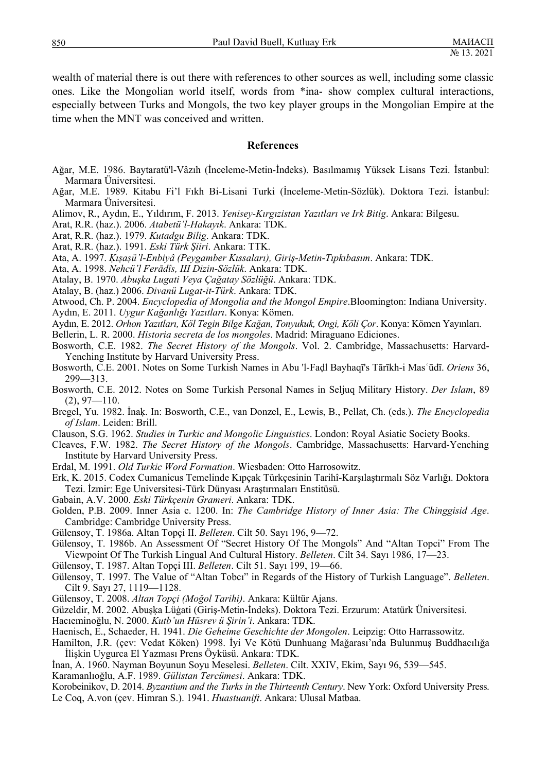wealth of material there is out there with references to other sources as well, including some classic ones. Like the Mongolian world itself, words from \*ina- show complex cultural interactions, especially between Turks and Mongols, the two key player groups in the Mongolian Empire at the time when the MNT was conceived and written.

#### **References**

- Ağar, M.E. 1986. Baytaratü'l-Vâzıh (İnceleme-Metin-İndeks). Basılmamış Yüksek Lisans Tezi. İstanbul: Marmara Üniversitesi.
- Ağar, M.E. 1989. Kitabu Fi'l Fıkh Bi-Lisani Turki (İnceleme-Metin-Sözlük). Doktora Tezi. İstanbul: Marmara Üniversitesi.
- Alimov, R., Aydın, E., Yıldırım, F. 2013. *Yenisey-Kırgızistan Yazıtları ve Irk Bitig*. Ankara: Bilgesu.
- Arat, R.R. (haz.). 2006. *Atabetü'l-Hakayık*. Ankara: TDK.
- Arat, R.R. (haz.). 1979. *Kutadgu Bilig*. Ankara: TDK.
- Arat, R.R. (haz.). 1991. *Eski Türk Şiiri*. Ankara: TTK.
- Ata, A. 1997. *Ḳıṣaṣü'l-Enbiyâ (Peygamber Kıssaları), Giriş-Metin-Tıpkıbasım*. Ankara: TDK.
- Ata, A. 1998. *Nehcü'l Ferādîs, III Dizin-Sözlük*. Ankara: TDK.
- Atalay, B. 1970. *Abuşka Lugati Veya Çağatay Sözlüğü*. Ankara: TDK.
- Atalay, B. (haz.) 2006. *Divanü Lugat-it-Türk*. Ankara: TDK.
- Atwood, Ch. P. 2004. *Encyclopedia of Mongolia and the Mongol Empire*.Bloomington: Indiana University.
- Aydın, E. 2011. *Uygur Kağanlığı Yazıtları*. Konya: Kömen.
- Aydın, E. 2012. *Orhon Yazıtları, Köl Tegin Bilge Kağan, Tonyukuk, Ongi, Köli Çor*. Konya: Kömen Yayınları.
- Bellerin, L. R. 2000. *Historia secreta de los mongoles*. Madrid: Miraguano Ediciones.
- Bosworth, C.E. 1982. *The Secret History of the Mongols*. Vol. 2. Cambridge, Massachusetts: Harvard-Yenching Institute by Harvard University Press.
- Bosworth, C.E. 2001. Notes on Some Turkish Names in Abu 'l-Faḍl Bayhaqī's Tārīkh-i Masʿūdī. *Oriens* 36, 299—313.
- Bosworth, C.E. 2012. Notes on Some Turkish Personal Names in Seljuq Military History. *Der Islam*, 89  $(2), 97 - 110.$
- Bregel, Yu. 1982. İnaḳ. In: Bosworth, C.E., van Donzel, E., Lewis, B., Pellat, Ch. (eds.). *The Encyclopedia of Islam*. Leiden: Brill.
- Clauson, S.G. 1962. *Studies in Turkic and Mongolic Linguistics*. London: Royal Asiatic Society Books.
- Cleaves, F.W. 1982. *The Secret History of the Mongols*. Cambridge, Massachusetts: Harvard-Yenching Institute by Harvard University Press.
- Erdal, M. 1991. *Old Turkic Word Formation*. Wiesbaden: Otto Harrosowitz.
- Erk, K. 2015. Codex Cumanicus Temelinde Kıpçak Türkçesinin Tarihî-Karşılaştırmalı Söz Varlığı. Doktora Tezi. İzmir: Ege Universitesi-Türk Dünyası Araştırmaları Enstitüsü.
- Gabain, A.V. 2000. *Eski Türkçenin Grameri*. Ankara: TDK.
- Golden, P.B. 2009. Inner Asia c. 1200. In: *The Cambridge History of Inner Asia: The Chinggisid Age*. Cambridge: Cambridge University Press.
- Gülensoy, T. 1986a. Altan Topçi II. *Belleten*. Cilt 50. Sayı 196, 9—72.
- Gülensoy, T. 1986b. An Assessment Of "Secret History Of The Mongols" And "Altan Topci" From The Viewpoint Of The Turkish Lingual And Cultural History. *Belleten*. Cilt 34. Sayı 1986, 17—23.
- Gülensoy, T. 1987. Altan Topçi III. *Belleten*. Cilt 51. Sayı 199, 19—66.
- Gülensoy, T. 1997. The Value of "Altan Tobcı" in Regards of the History of Turkish Language". *Belleten*. Cilt 9. Sayı 27, 1119—1128.
- Gülensoy, T. 2008. *Altan Topçi (Moğol Tarihi)*. Ankara: Kültür Ajans.
- Güzeldir, M. 2002. Abuşḳa Lüġati (Giriş-Metin-İndeks). Doktora Tezi. Erzurum: Atatürk Üniversitesi.
- Hacıeminoğlu, N. 2000. *Kutb'un Hüsrev ü Şirin'i*. Ankara: TDK.
- Haenisch, E., Schaeder, H. 1941. *Die Geheime Geschichte der Mongolen*. Leipzig: Otto Harrassowitz.
- Hamilton, J.R. (çev: Vedat Köken) 1998. İyi Ve Kötü Dunhuang Mağarası'nda Bulunmuş Buddhacılığa İlişkin Uygurca El Yazması Prens Öyküsü. Ankara: TDK.
- İnan, A. 1960. Nayman Boyunun Soyu Meselesi. *Belleten*. Cilt. XXIV, Ekim, Sayı 96, 539—545.

Karamanlıoğlu, A.F. 1989. *Gülistan Tercümesi*. Ankara: TDK.

Korobeinikov, D. 2014. *Byzantium and the Turks in the Thirteenth Century*. New York: Oxford University Press. Le Coq, A.von (çev. Himran S.). 1941. *Huastuanift*. Ankara: Ulusal Matbaa.